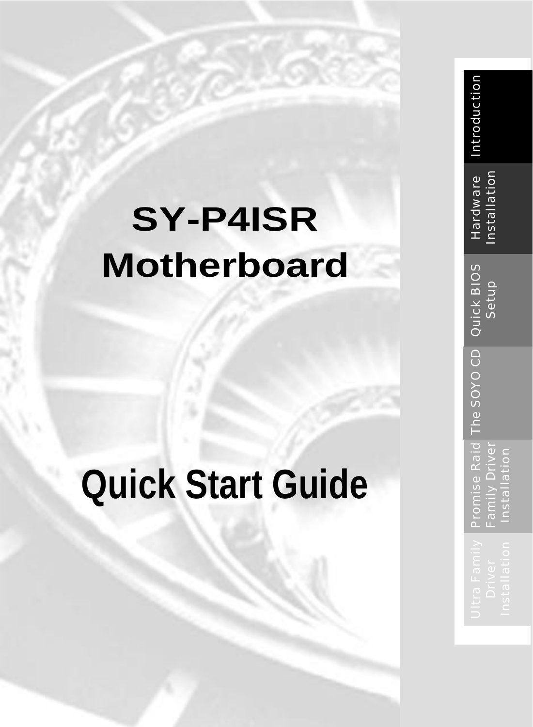# **SY -P4ISR Motherboard**

# **Quick Start Guide**

| ware<br>こんエ                  |             |                     |
|------------------------------|-------------|---------------------|
| SONO CD Quick BIOS           | an<br>Set   |                     |
| Ē                            |             |                     |
| $\overline{1}$<br>se Ra<br>n | ne⊲         | ∊<br>۵<br>È<br>nsta |
| Ē<br>16 – 61<br>m.<br>m      | Š<br>ţ<br>Ò | Ľ<br>Ü<br>г         |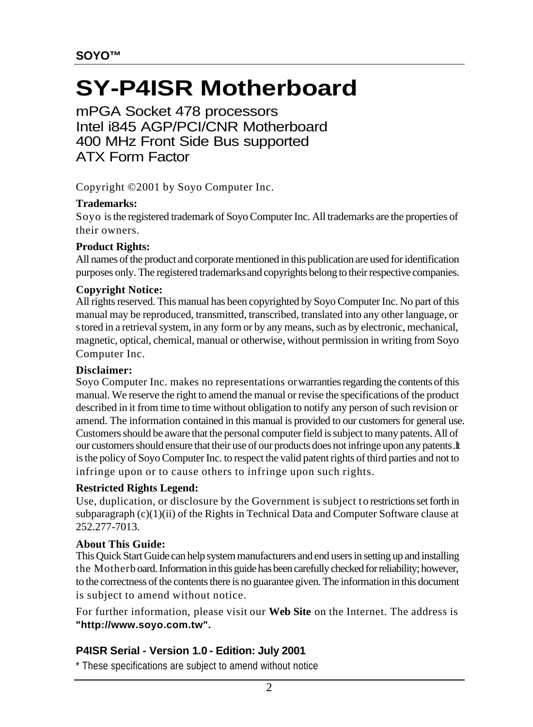### **SY-P4ISR Motherboard**

mPGA Socket 478 processors Intel i845 AGP/PCI/CNR Motherboard 400 MHz Front Side Bus supported ATX Form Factor

Copyright © 2001 by Soyo Computer Inc.

#### **Trademarks:**

Soyo is the registered trademark of Soyo Computer Inc. All trademarks are the properties of their owners.

#### **Product Rights:**

All names of the product and corporate mentioned in this publication are used for identification purposes only. The registered trademarks and copyrights belong to their respective companies.

#### **Copyright Notice:**

All rights reserved. This manual has been copyrighted by Soyo Computer Inc. No part of this manual may be reproduced, transmitted, transcribed, translated into any other language, or stored in a retrieval system, in any form or by any means, such as by electronic, mechanical, magnetic, optical, chemical, manual or otherwise, without permission in writing from Soyo Computer Inc.

#### **Disclaimer:**

Soyo Computer Inc. makes no representations or warranties regarding the contents of this manual. We reserve the right to amend the manual or revise the specifications of the product described in it from time to time without obligation to notify any person of such revision or amend. The information contained in this manual is provided to our customers for general use. Customers should be aware that the personal computer field is subject to many patents. All of our customers should ensure that their use of our products does not infringe upon any patents. It is the policy of Soyo Computer Inc. to respect the valid patent rights of third parties and not to infringe upon or to cause others to infringe upon such rights.

#### **Restricted Rights Legend:**

Use, duplication, or disclosure by the Government is subject to restrictions set forth in subparagraph  $(c)(1)(ii)$  of the Rights in Technical Data and Computer Software clause at 252.277-7013.

#### **About This Guide:**

This Quick Start Guide can help system manufacturers and end users in setting up and installing the Motherb oard. Information in this guide has been carefully checked for reliability; however, to the correctness of the contents there is no guarantee given. The information in this document is subject to amend without notice.

For further information, please visit our **Web Site** on the Internet. The address is **"http://www.soyo.com.tw".**

#### **P4ISR Serial - Version 1.0 - Edition: July 2001**

\* These specifications are subject to amend without notice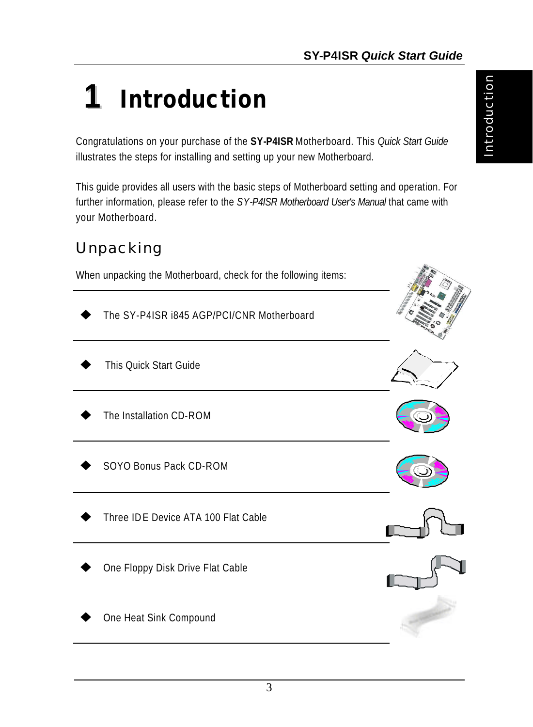## **1** *Introduction*

Congratulations on your purchase of the **SY-P4ISR** Motherboard. This *Quick Start Guide* illustrates the steps for installing and setting up your new Motherboard.

This guide provides all users with the basic steps of Motherboard setting and operation. For further information, please refer to the *SY-P4ISR Motherboard User's Manual* that came with your Motherboard.

#### *Unpacking*

When unpacking the Motherboard, check for the following items:

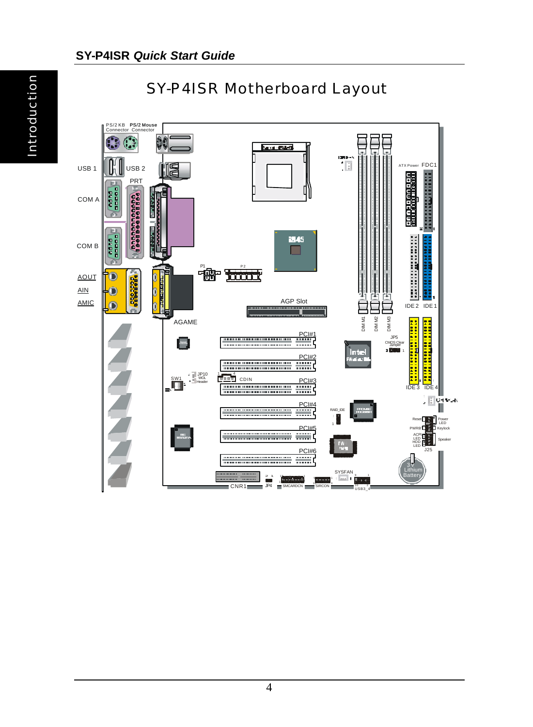Introduction



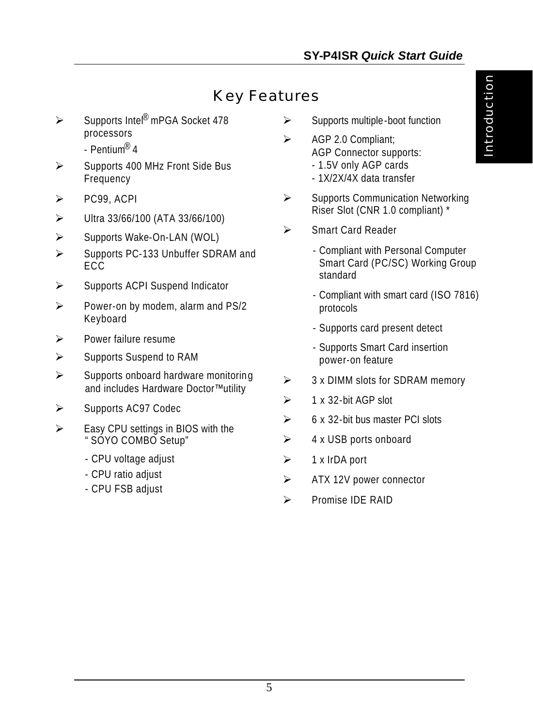#### *Key Features*

- ÿ Supports Intel® mPGA Socket 478 processors
	- Pentium® 4
- $\triangleright$  Supports 400 MHz Front Side Bus Frequency
- $\triangleright$  PC99, ACPI
- $\triangleright$  Ultra 33/66/100 (ATA 33/66/100)
- ÿ Supports Wake-On-LAN (WOL)
- $\triangleright$  Supports PC-133 Unbuffer SDRAM and ECC.
- $\triangleright$  Supports ACPI Suspend Indicator
- $\triangleright$  Power-on by modem, alarm and PS/2 Keyboard
- $\triangleright$  Power failure resume
- $\triangleright$  Supports Suspend to RAM
- $\triangleright$  Supports onboard hardware monitoring and includes Hardware Doctor™ utility
- $\triangleright$  Supports AC97 Codec
- $\triangleright$  Easy CPU settings in BIOS with the "SOYO COMBO Setup"
	- CPU voltage adjust
	- CPU ratio adjust
	- CPU FSB adjust
- $\triangleright$  Supports multiple-boot function
- $\triangleright$  AGP 2.0 Compliant: AGP Connector supports:
	- 1.5V only AGP cards
	- 1X/2X/4X data transfer
- $\triangleright$  Supports Communication Networking Riser Slot (CNR 1.0 compliant) \*
- ÿ Smart Card Reader
	- Compliant with Personal Computer Smart Card (PC/SC) Working Group standard
	- Compliant with smart card (ISO 7816) protocols
	- Supports card present detect
	- Supports Smart Card insertion power-on feature
- $\geq$  3 x DIMM slots for SDRAM memory
- $\geq 1$  x 32-bit AGP slot
- $\geq$  6 x 32-bit bus master PCI slots
- $\triangleright$  4 x USB ports onboard
- $\geq$  1 x IrDA port
- $\triangleright$  ATX 12V power connector
- **EXAMPLE PROPERTY**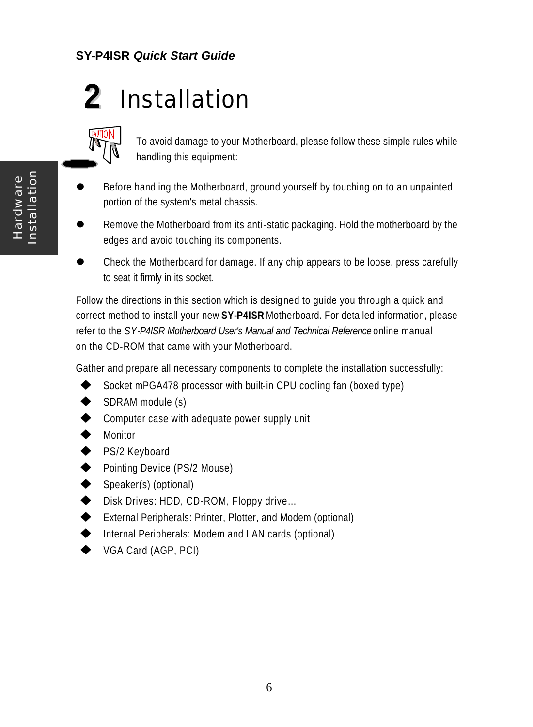## **2** *Installation*



To avoid damage to your Motherboard, please follow these simple rules while handling this equipment:

- Before handling the Motherboard, ground yourself by touching on to an unpainted portion of the system's metal chassis.
- Remove the Motherboard from its anti-static packaging. Hold the motherboard by the edges and avoid touching its components.
- l Check the Motherboard for damage. If any chip appears to be loose, press carefully to seat it firmly in its socket.

Follow the directions in this section which is designed to guide you through a quick and correct method to install your new **SY-P4ISR** Motherboard. For detailed information, please refer to the *SY-P4ISR Motherboard User's Manual and Technical Reference* online manual on the CD-ROM that came with your Motherboard.

Gather and prepare all necessary components to complete the installation successfully:

- Socket mPGA478 processor with built-in CPU cooling fan (boxed type)
- SDRAM module (s)
- $\blacklozenge$  Computer case with adequate power supply unit
- $\blacklozenge$  Monitor
- ◆ PS/2 Keyboard
- Pointing Device (PS/2 Mouse)
- Speaker(s) (optional)
- ◆ Disk Drives: HDD, CD-ROM, Floppy drive...
- ◆ External Peripherals: Printer, Plotter, and Modem (optional)
- $\blacklozenge$  Internal Peripherals: Modem and LAN cards (optional)
- VGA Card (AGP, PCI)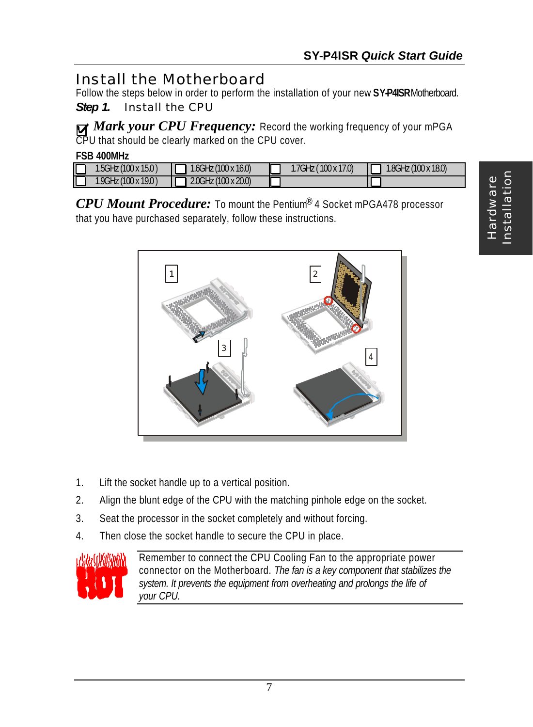#### *Install the Motherboard*

Follow the steps below in order to perform the installation of your new **SY-P4ISR** Motherboard.

*Step 1.* Install the CPU

*Mark your CPU Frequency:* Record the working frequency of your mPGA CPU that should be clearly marked on the CPU cover.

| <b>FSB 400MHz</b> |                      |                        |  |                     |  |                        |  |  |  |
|-------------------|----------------------|------------------------|--|---------------------|--|------------------------|--|--|--|
|                   | 1.5GHz (100 x 15.0 ) | $1.6$ GHz (100 x 16.0) |  | 1.7GHz (100 x 17.0) |  | $1.8$ GHz (100 x 18.0) |  |  |  |
|                   | 1.9GHz (100 x 19.0)  | $2.0$ GHz (100 x 20.0) |  |                     |  |                        |  |  |  |

*CPU Mount Procedure:* To mount the Pentium® 4 Socket mPGA478 processor that you have purchased separately, follow these instructions.



- 1. Lift the socket handle up to a vertical position.
- 2. Align the blunt edge of the CPU with the matching pinhole edge on the socket.
- 3. Seat the processor in the socket completely and without forcing.
- 4. Then close the socket handle to secure the CPU in place.



Remember to connect the CPU Cooling Fan to the appropriate power connector on the Motherboard. *The fan is a key component that stabilizes the system. It prevents the equipment from overheating and prolongs the life of your CPU.*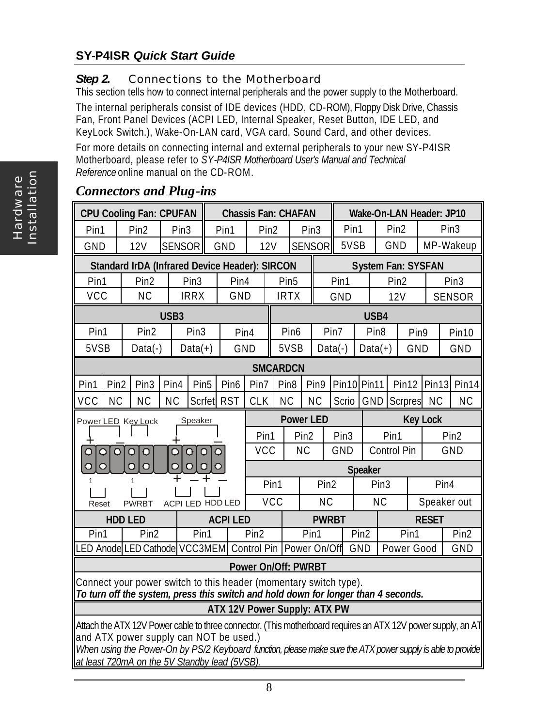#### **SY-P4ISR** *Quick Start Guide*

#### **Step 2.** Connections to the Motherboard

This section tells how to connect internal peripherals and the power supply to the Motherboard.

The internal peripherals consist of IDE devices (HDD, CD-ROM), Floppy Disk Drive, Chassis Fan, Front Panel Devices (ACPI LED, Internal Speaker, Reset Button, IDE LED, and KeyLock Switch.), Wake-On-LAN card, VGA card, Sound Card, and other devices.

For more details on connecting internal and external peripherals to your new SY-P4ISR Motherboard, please refer to *SY-P4ISR Motherboard User's Manual and Technical Reference* online manual on the CD-ROM.

| Wake-On-LAN Header: JP10<br><b>Chassis Fan: CHAFAN</b>                                                                                                |                                                       |                  |                     |                |                                      |                  |                  |                  |                          |                |                    |                           |              |                  |                   |
|-------------------------------------------------------------------------------------------------------------------------------------------------------|-------------------------------------------------------|------------------|---------------------|----------------|--------------------------------------|------------------|------------------|------------------|--------------------------|----------------|--------------------|---------------------------|--------------|------------------|-------------------|
| <b>CPU Cooling Fan: CPUFAN</b>                                                                                                                        |                                                       |                  |                     |                |                                      |                  |                  |                  |                          |                |                    |                           |              |                  |                   |
| Pin1                                                                                                                                                  | Pin <sub>2</sub>                                      | Pin <sub>3</sub> |                     | Pin1           | Pin <sub>2</sub><br>Pin <sub>3</sub> |                  |                  | Pin1             |                          |                | Pin <sub>2</sub>   | Pin <sub>3</sub>          |              |                  |                   |
| GND                                                                                                                                                   | 12V                                                   | <b>SENSOR</b>    |                     | GND            | 12V                                  |                  |                  | <b>SENSOR</b>    | 5VSB                     | GND            |                    |                           | MP-Wakeup    |                  |                   |
|                                                                                                                                                       | <b>Standard IrDA (Infrared Device Header): SIRCON</b> |                  |                     |                |                                      |                  |                  |                  |                          |                |                    | <b>System Fan: SYSFAN</b> |              |                  |                   |
| Pin1                                                                                                                                                  | Pin <sub>2</sub>                                      |                  | Pin <sub>3</sub>    | Pin4           |                                      | Pin <sub>5</sub> |                  |                  | Pin1<br>Pin <sub>2</sub> |                |                    | Pin <sub>3</sub>          |              |                  |                   |
| <b>VCC</b>                                                                                                                                            | <b>NC</b>                                             |                  | <b>IRRX</b>         | GND            |                                      | <b>IRTX</b>      |                  |                  | GND                      |                |                    | 12V                       |              |                  | <b>SENSOR</b>     |
|                                                                                                                                                       |                                                       | USB <sub>3</sub> |                     |                |                                      |                  |                  |                  |                          | USB4           |                    |                           |              |                  |                   |
| Pin1                                                                                                                                                  | Pin <sub>2</sub>                                      |                  | Pin <sub>3</sub>    | Pin4           |                                      |                  | Pin <sub>6</sub> |                  | Pin7                     |                | Pin <sub>8</sub>   | Pin9                      |              |                  | Pin <sub>10</sub> |
| 5VSB                                                                                                                                                  | $Data(-)$                                             |                  | $Data(+)$           | GND            |                                      |                  | 5VSB             |                  | $Data(-)$                | $Data(+)$      |                    | GND                       |              |                  | GND               |
|                                                                                                                                                       |                                                       |                  |                     |                |                                      | <b>SMCARDCN</b>  |                  |                  |                          |                |                    |                           |              |                  |                   |
| Pin1<br>Pin <sub>2</sub>                                                                                                                              | Pin <sub>3</sub>                                      | Pin4             | Pin <sub>5</sub>    | Pin6           | Pin7                                 | Pin <sub>8</sub> |                  | Pin9             | Pin10 Pin11              |                |                    | Pin12                     | Pin13        |                  | Pin14             |
| <b>VCC</b><br><b>NC</b>                                                                                                                               | <b>NC</b>                                             | <b>NC</b>        | Scrfet              | <b>RST</b>     | <b>CLK</b>                           | <b>NC</b>        |                  | <b>NC</b>        | Scrio                    | GND            |                    | <b>Scrpres</b>            | <b>NC</b>    |                  | <b>NC</b>         |
| <b>Power LED</b><br><b>Key Lock</b><br>Power LED Key Lock<br>Speaker                                                                                  |                                                       |                  |                     |                |                                      |                  |                  |                  |                          |                |                    |                           |              |                  |                   |
|                                                                                                                                                       |                                                       |                  |                     |                | Pin1                                 |                  | Pin <sub>2</sub> |                  | Pin <sub>3</sub>         |                | Pin1               |                           |              | Pin <sub>2</sub> |                   |
| $\circ$                                                                                                                                               | $\circ$<br>$\circ$<br>$\Omega$                        | Q                | $\circ$<br>$\Omega$ | $\circ$        | <b>VCC</b>                           |                  | <b>NC</b>        |                  | GND                      |                | Control Pin<br>GND |                           |              |                  |                   |
| $\circ$<br>O                                                                                                                                          | $\overline{O}$<br>$\overline{O}$                      | Ō                | $\circ$<br>$\circ$  | O              |                                      |                  |                  |                  |                          | <b>Speaker</b> |                    |                           |              |                  |                   |
|                                                                                                                                                       |                                                       |                  |                     |                |                                      | Pin1             |                  | Pin <sub>2</sub> |                          |                | Pin <sub>3</sub>   |                           |              | Pin4             |                   |
| Reset                                                                                                                                                 | <b>PWRBT</b>                                          |                  | ACPI LED HDD LED    |                |                                      | <b>VCC</b>       |                  | <b>NC</b>        |                          |                | <b>NC</b>          |                           | Speaker out  |                  |                   |
|                                                                                                                                                       | <b>HDD LED</b>                                        |                  |                     | <b>ACPILED</b> |                                      |                  |                  | <b>PWRBT</b>     |                          |                |                    |                           | <b>RESET</b> |                  |                   |
| Pin1                                                                                                                                                  | Pin <sub>2</sub>                                      |                  | Pin1                |                | Pin <sub>2</sub>                     |                  |                  | Pin1             | Pin <sub>2</sub>         |                | Pin1               |                           |              |                  | Pin <sub>2</sub>  |
|                                                                                                                                                       | LED Anode LED Cathode VCC3MEM                         |                  |                     |                | Control Pin                          |                  | Power On/Off     |                  | GND<br>Power Good        |                |                    |                           |              | GND              |                   |
|                                                                                                                                                       |                                                       |                  |                     |                | <b>Power On/Off: PWRBT</b>           |                  |                  |                  |                          |                |                    |                           |              |                  |                   |
| Connect your power switch to this header (momentary switch type).                                                                                     |                                                       |                  |                     |                |                                      |                  |                  |                  |                          |                |                    |                           |              |                  |                   |
| To turn off the system, press this switch and hold down for longer than 4 seconds.                                                                    |                                                       |                  |                     |                |                                      |                  |                  |                  |                          |                |                    |                           |              |                  |                   |
| <b>ATX 12V Power Supply: ATX PW</b>                                                                                                                   |                                                       |                  |                     |                |                                      |                  |                  |                  |                          |                |                    |                           |              |                  |                   |
| Attach the ATX 12V Power cable to three connector. (This motherboard requires an ATX 12V power supply, an AT                                          |                                                       |                  |                     |                |                                      |                  |                  |                  |                          |                |                    |                           |              |                  |                   |
| and ATX power supply can NOT be used.)<br>When using the Power-On by PS/2 Keyboard function, please make sure the ATX power supply is able to provide |                                                       |                  |                     |                |                                      |                  |                  |                  |                          |                |                    |                           |              |                  |                   |
|                                                                                                                                                       |                                                       |                  |                     |                |                                      |                  |                  |                  |                          |                |                    |                           |              |                  |                   |
|                                                                                                                                                       | at least 720mA on the 5V Standby lead (5VSB).         |                  |                     |                |                                      |                  |                  |                  |                          |                |                    |                           |              |                  |                   |

#### *Connectors and Plug-ins*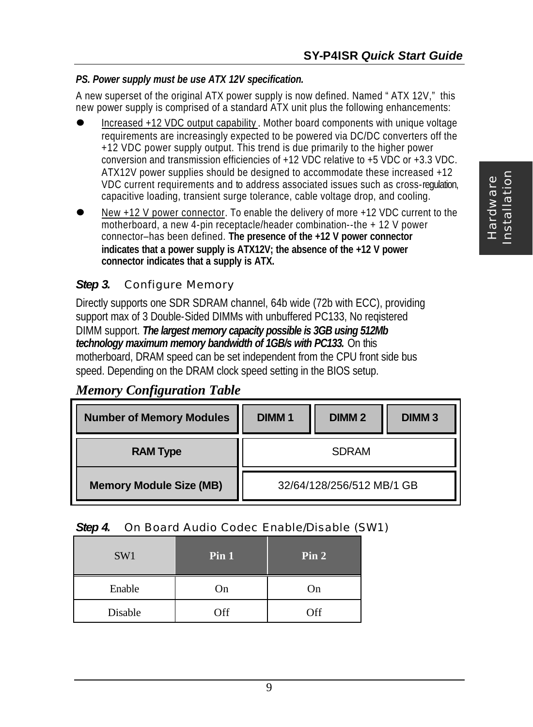#### *PS. Power supply must be use ATX 12V specification.*

A new superset of the original ATX power supply is now defined. Named "ATX 12V," this new power supply is comprised of a standard ATX unit plus the following enhancements:

- l Increased +12 VDC output capability . Mother board components with unique voltage requirements are increasingly expected to be powered via DC/DC converters off the +12 VDC power supply output. This trend is due primarily to the higher power conversion and transmission efficiencies of +12 VDC relative to +5 VDC or +3.3 VDC. ATX12V power supplies should be designed to accommodate these increased +12 VDC current requirements and to address associated issues such as cross-regulation, capacitive loading, transient surge tolerance, cable voltage drop, and cooling.
- l New +12 V power connector. To enable the delivery of more +12 VDC current to the motherboard, a new 4-pin receptacle/header combination--the + 12 V power connector–has been defined. **The presence of the +12 V power connector indicates that a power supply is ATX12V; the absence of the +12 V power connector indicates that a supply is ATX.**

#### *Step 3.* Configure Memory

Directly supports one SDR SDRAM channel, 64b wide (72b with ECC), providing support max of 3 Double-Sided DIMMs with unbuffered PC133, No reqistered DIMM support. *The largest memory capacity possible is 3GB using 512Mb technology maximum memory bandwidth of 1GB/s with PC133.* On this motherboard, DRAM speed can be set independent from the CPU front side bus speed. Depending on the DRAM clock speed setting in the BIOS setup.

#### *Memory Configuration Table*

| <b>Number of Memory Modules</b> | <b>DIMM1</b><br><b>DIMM2</b><br><b>DIMM3</b> |  |  |  |  |  |
|---------------------------------|----------------------------------------------|--|--|--|--|--|
| <b>RAM Type</b>                 | <b>SDRAM</b>                                 |  |  |  |  |  |
| <b>Memory Module Size (MB)</b>  | 32/64/128/256/512 MB/1 GB                    |  |  |  |  |  |

#### *Step 4.* On Board Audio Codec Enable/Disable (SW1)

| SW1     | Pin 1 | Pin 2 |
|---------|-------|-------|
| Enable  | On    | On    |
| Disable | Off   | Off   |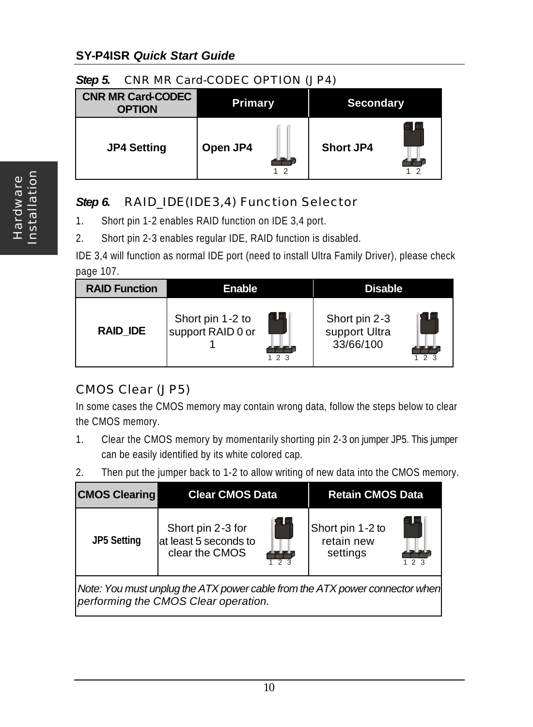#### **SY-P4ISR** *Quick Start Guide*

#### *Step 5.* CNR MR Card-CODEC OPTION (JP4)

| <b>CNR MR Card-CODEC</b><br><b>OPTION</b> | <b>Primary</b> | <b>Secondary</b> |
|-------------------------------------------|----------------|------------------|
| <b>JP4 Setting</b>                        | Open JP4<br>ົ  | <b>Short JP4</b> |

#### *Step 6.* RAID\_IDE(IDE3,4) Function Selector

- 1. Short pin 1-2 enables RAID function on IDE 3,4 port.
- 2. Short pin 2-3 enables regular IDE, RAID function is disabled.

IDE 3,4 will function as normal IDE port (need to install Ultra Family Driver), please check page 107.

| <b>RAID Function</b> | Enable                                |                | <b>Disable</b>                              |  |  |
|----------------------|---------------------------------------|----------------|---------------------------------------------|--|--|
| RAID IDE             | Short pin 1-2 to<br>support RAID 0 or | 2 <sup>3</sup> | Short pin 2-3<br>support Ultra<br>33/66/100 |  |  |

#### CMOS Clear (JP5)

In some cases the CMOS memory may contain wrong data, follow the steps below to clear the CMOS memory.

- 1. Clear the CMOS memory by momentarily shorting pin 2-3 on jumper JP5. This jumper can be easily identified by its white colored cap.
- 2. Then put the jumper back to 1-2 to allow writing of new data into the CMOS memory.

| <b>CMOS Clearing</b>                                                                                                | <b>Clear CMOS Data</b>                                       |                        | <b>Retain CMOS Data</b>                    |      |  |  |  |
|---------------------------------------------------------------------------------------------------------------------|--------------------------------------------------------------|------------------------|--------------------------------------------|------|--|--|--|
| <b>JP5 Setting</b>                                                                                                  | Short pin 2-3 for<br>at least 5 seconds to<br>clear the CMOS | E L<br>$\overline{23}$ | Short pin 1-2 to<br>retain new<br>settings | 12.3 |  |  |  |
| Note: You must unplug the ATX power cable from the ATX power connector when<br>performing the CMOS Clear operation. |                                                              |                        |                                            |      |  |  |  |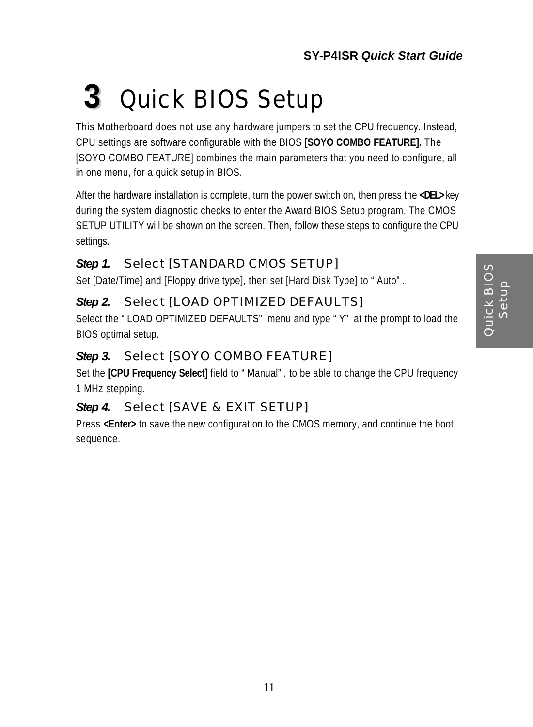## **3** *Quick BIOS Setup*

This Motherboard does not use any hardware jumpers to set the CPU frequency. Instead, CPU settings are software configurable with the BIOS **[SOYO COMBO FEATURE].** The [SOYO COMBO FEATURE] combines the main parameters that you need to configure, all in one menu, for a quick setup in BIOS.

After the hardware installation is complete, turn the power switch on, then press the **<DEL>** key during the system diagnostic checks to enter the Award BIOS Setup program. The CMOS SETUP UTILITY will be shown on the screen. Then, follow these steps to configure the CPU settings.

#### *Step 1.* Select [STANDARD CMOS SETUP]

Set [Date/Time] and [Floppy drive type], then set [Hard Disk Type] to "Auto".

#### *Step 2.* Select [LOAD OPTIMIZED DEFAULTS]

Select the "LOAD OPTIMIZED DEFAULTS" menu and type "Y" at the prompt to load the BIOS optimal setup.

#### *Step 3.* Select [SOYO COMBO FEATURE]

Set the **[CPU Frequency Select]** field to "Manual", to be able to change the CPU frequency 1 MHz stepping.

#### *Step 4.* Select [SAVE & EXIT SETUP]

Press **<Enter>** to save the new configuration to the CMOS memory, and continue the boot sequence.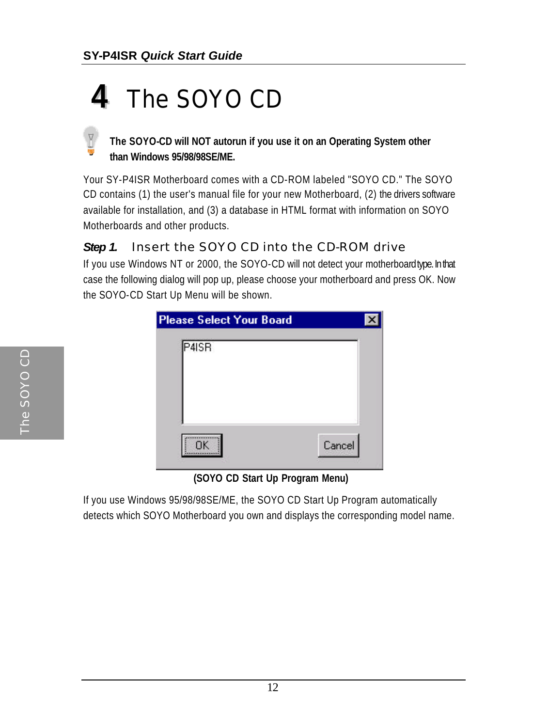### **4** *The SOYO CD*

#### **The SOYO-CD will NOT autorun if you use it on an Operating System other than Windows 95/98/98SE/ME.**

Your SY-P4ISR Motherboard comes with a CD-ROM labeled "SOYO CD." The SOYO CD contains (1) the user's manual file for your new Motherboard, (2) the drivers software available for installation, and (3) a database in HTML format with information on SOYO Motherboards and other products.

#### **Step 1.** Insert the SOYO CD into the CD-ROM drive

If you use Windows NT or 2000, the SOYO-CD will not detect your motherboard type. In that case the following dialog will pop up, please choose your motherboard and press OK. Now the SOYO-CD Start Up Menu will be shown.

| <b>Please Select Your Board</b><br>P4ISR |        |  |
|------------------------------------------|--------|--|
|                                          |        |  |
|                                          |        |  |
| <b>OK</b>                                | Cancel |  |

 **(SOYO CD Start Up Program Menu)**

If you use Windows 95/98/98SE/ME, the SOYO CD Start Up Program automatically detects which SOYO Motherboard you own and displays the corresponding model name.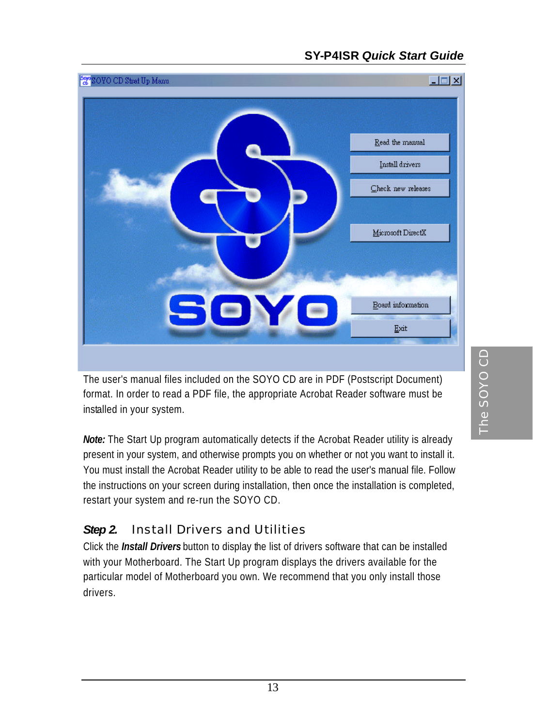#### **SY-P4ISR** *Quick Start Guide*



The user's manual files included on the SOYO CD are in PDF (Postscript Document) format. In order to read a PDF file, the appropriate Acrobat Reader software must be installed in your system.

*Note:* The Start Up program automatically detects if the Acrobat Reader utility is already present in your system, and otherwise prompts you on whether or not you want to install it. You must install the Acrobat Reader utility to be able to read the user's manual file. Follow the instructions on your screen during installation, then once the installation is completed, restart your system and re-run the SOYO CD.

#### *Step 2.* Install Drivers and Utilities

Click the *Install Drivers* button to display the list of drivers software that can be installed with your Motherboard. The Start Up program displays the drivers available for the particular model of Motherboard you own. We recommend that you only install those drivers.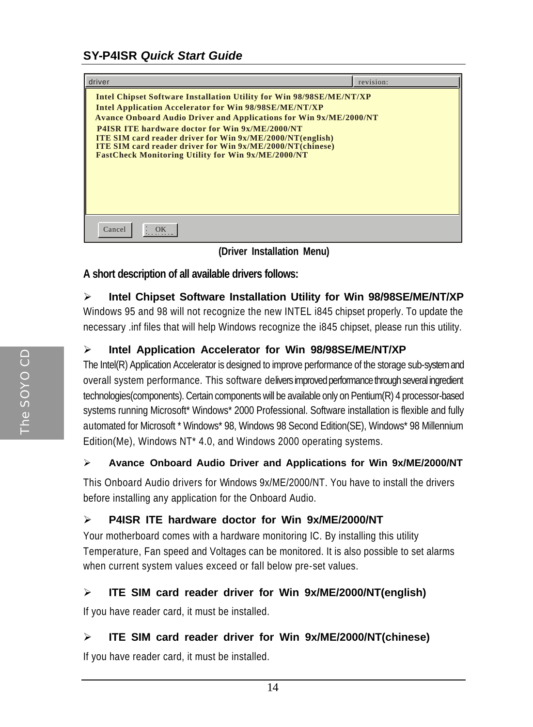| driver                                                                                                                                     | revision: |
|--------------------------------------------------------------------------------------------------------------------------------------------|-----------|
| Intel Chipset Software Installation Utility for Win 98/98SE/ME/NT/XP                                                                       |           |
| <b>Intel Application Accelerator for Win 98/98SE/ME/NT/XP</b><br><b>Avance Onboard Audio Driver and Applications for Win 9x/ME/2000/NT</b> |           |
| <b>P4ISR ITE hardware doctor for Win 9x/ME/2000/NT</b>                                                                                     |           |
| <b>ITE SIM card reader driver for Win 9x/ME/2000/NT(english)</b><br><b>ITE SIM card reader driver for Win 9x/ME/2000/NT(chinese)</b>       |           |
| <b>FastCheck Monitoring Utility for Win 9x/ME/2000/NT</b>                                                                                  |           |
|                                                                                                                                            |           |
|                                                                                                                                            |           |
|                                                                                                                                            |           |
|                                                                                                                                            |           |
| Cancel                                                                                                                                     |           |

 **(Driver Installation Menu)**

#### **A short description of all available drivers follows:**

#### ÿ **Intel Chipset Software Installation Utility for Win 98/98SE/ME/NT/XP**

Windows 95 and 98 will not recognize the new INTEL i845 chipset properly. To update the necessary .inf files that will help Windows recognize the i845 chipset, please run this utility.

#### ÿ **Intel Application Accelerator for Win 98/98SE/ME/NT/XP**

The Intel(R) Application Accelerator is designed to improve performance of the storage sub-system and overall system performance. This software delivers improved performance through several ingredient technologies(components). Certain components will be available only on Pentium(R) 4 processor-based systems running Microsoft\* Windows\* 2000 Professional. Software installation is flexible and fully automated for Microsoft \* Windows\* 98, Windows 98 Second Edition(SE), Windows\* 98 Millennium Edition(Me), Windows NT\* 4.0, and Windows 2000 operating systems.

#### ÿ **Avance Onboard Audio Driver and Applications for Win 9x/ME/2000/NT**

This Onboard Audio drivers for Windows 9x/ME/2000/NT. You have to install the drivers before installing any application for the Onboard Audio.

#### ÿ **P4ISR ITE hardware doctor for Win 9x/ME/2000/NT**

Your motherboard comes with a hardware monitoring IC. By installing this utility Temperature, Fan speed and Voltages can be monitored. It is also possible to set alarms when current system values exceed or fall below pre-set values.

#### ÿ **ITE SIM card reader driver for Win 9x/ME/2000/NT(english)**

If you have reader card, it must be installed.

#### ÿ **ITE SIM card reader driver for Win 9x/ME/2000/NT(chinese)**

If you have reader card, it must be installed.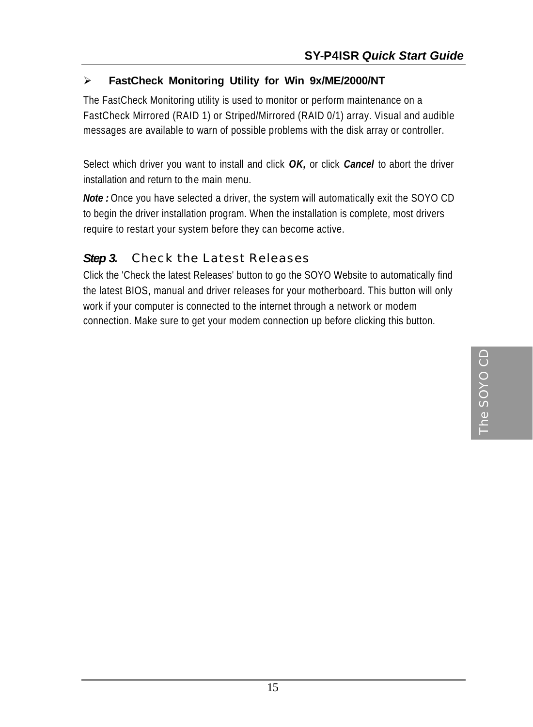#### ÿ **FastCheck Monitoring Utility for Win 9x/ME/2000/NT**

The FastCheck Monitoring utility is used to monitor or perform maintenance on a FastCheck Mirrored (RAID 1) or Striped/Mirrored (RAID 0/1) array. Visual and audible messages are available to warn of possible problems with the disk array or controller.

Select which driver you want to install and click *OK,* or click *Cancel* to abort the driver installation and return to the main menu.

*Note :* Once you have selected a driver, the system will automatically exit the SOYO CD to begin the driver installation program. When the installation is complete, most drivers require to restart your system before they can become active.

#### *Step 3.* Check the Latest Releases

Click the 'Check the latest Releases' button to go the SOYO Website to automatically find the latest BIOS, manual and driver releases for your motherboard. This button will only work if your computer is connected to the internet through a network or modem connection. Make sure to get your modem connection up before clicking this button.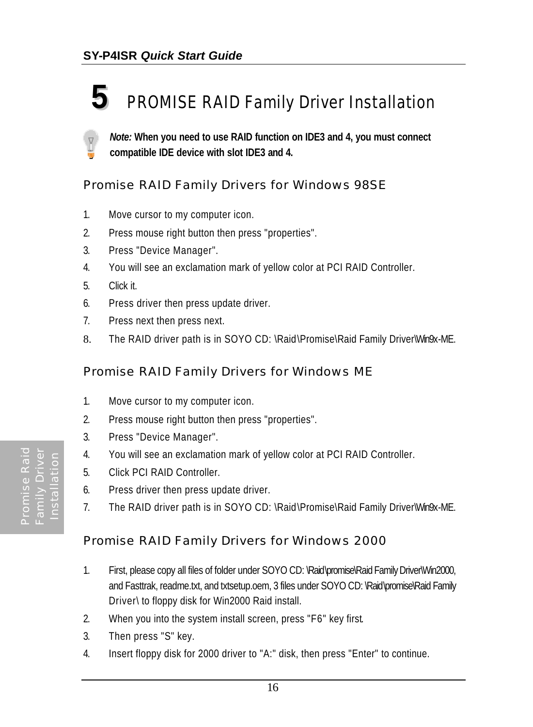### **5** *PROMISE RAID Family Driver Installation*

*Note:* **When you need to use RAID function on IDE3 and 4, you must connect compatible IDE device with slot IDE3 and 4.**

#### *Promise RAID Family Drivers for Windows 98SE*

- 1. Move cursor to my computer icon.
- 2. Press mouse right button then press "properties".
- 3. Press "Device Manager".
- 4. You will see an exclamation mark of yellow color at PCI RAID Controller.
- 5. Click it.
- 6. Press driver then press update driver.
- 7. Press next then press next.
- 8. The RAID driver path is in SOYO CD: \Raid\Promise\Raid Family Driver\Win9x-ME.

#### *Promise RAID Family Drivers for Windows ME*

- 1. Move cursor to my computer icon.
- 2. Press mouse right button then press "properties".
- 3. Press "Device Manager".
- 4. You will see an exclamation mark of yellow color at PCI RAID Controller.
- 5. Click PCI RAID Controller.
- 6. Press driver then press update driver.
- 7. The RAID driver path is in SOYO CD: \Raid\Promise\Raid Family Driver\Win9x-ME.

#### *Promise RAID Family Drivers for Windows 2000*

- 1. First, please copy all files of folder under SOYO CD: \Raid\promise\Raid Family Driver\Win2000, and Fasttrak, readme.txt, and txtsetup.oem, 3 files under SOYO CD: \Raid\promise\Raid Family Driver\ to floppy disk for Win2000 Raid install.
- 2. When you into the system install screen, press "F6" key first.
- 3. Then press "S" key.
- 4. Insert floppy disk for 2000 driver to "A:" disk, then press "Enter" to continue.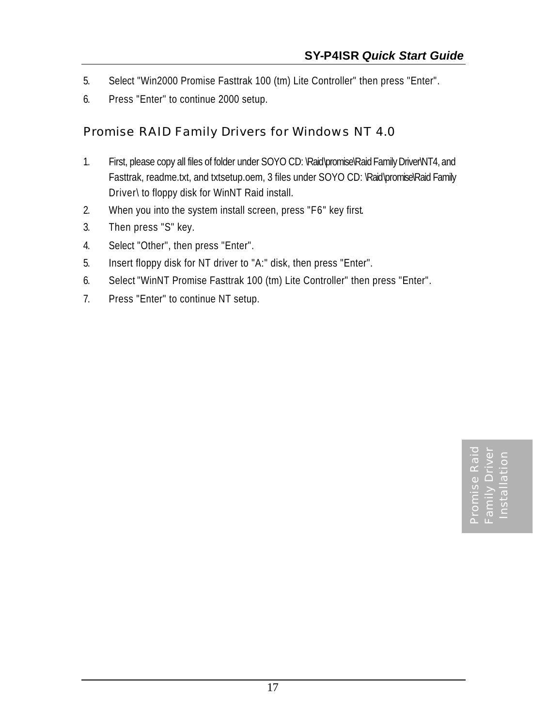- 5. Select "Win2000 Promise Fasttrak 100 (tm) Lite Controller" then press "Enter".
- 6. Press "Enter" to continue 2000 setup.

#### *Promise RAID Family Drivers for Windows NT 4.0*

- 1. First, please copy all files of folder under SOYO CD: \Raid\promise\Raid Family Driver\NT4, and Fasttrak, readme.txt, and txtsetup.oem, 3 files under SOYO CD: \Raid\promise\Raid Family Driver\ to floppy disk for WinNT Raid install.
- 2. When you into the system install screen, press "F6" key first.
- 3. Then press "S" key.
- 4. Select "Other", then press "Enter".
- 5. Insert floppy disk for NT driver to "A:" disk, then press "Enter".
- 6. Select "WinNT Promise Fasttrak 100 (tm) Lite Controller" then press "Enter".
- 7. Press "Enter" to continue NT setup.

Promise Raid Family Driver Installation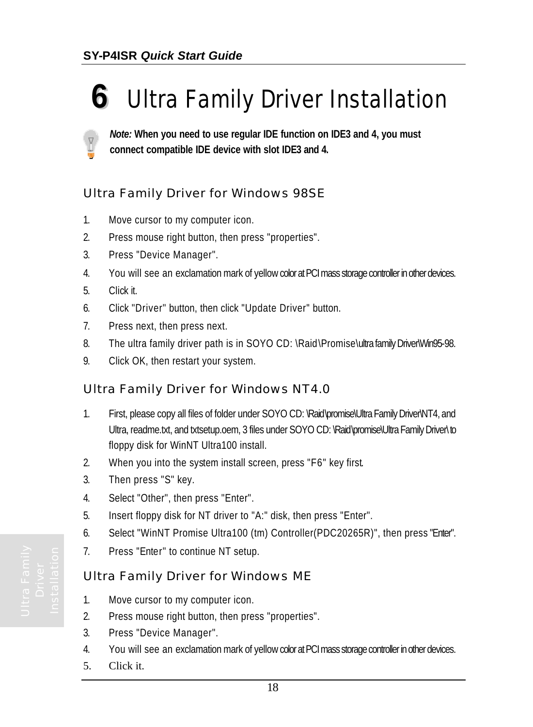### **6** *Ultra Family Driver Installation*

*Note:* **When you need to use regular IDE function on IDE3 and 4, you must connect compatible IDE device with slot IDE3 and 4.**

#### *Ultra Family Driver for Windows 98SE*

- 1. Move cursor to my computer icon.
- 2. Press mouse right button, then press "properties".
- 3. Press "Device Manager".
- 4. You will see an exclamation mark of yellow color at PCI mass storage controller in other devices.
- 5. Click it.
- 6. Click "Driver" button, then click "Update Driver" button.
- 7. Press next, then press next.
- 8. The ultra family driver path is in SOYO CD: \Raid\Promise\ultra family Driver\Win95-98.
- 9. Click OK, then restart your system.

#### *Ultra Family Driver for Windows NT4.0*

- 1. First, please copy all files of folder under SOYO CD: \Raid\promise\Ultra Family Driver\NT4, and Ultra, readme.txt, and txtsetup.oem, 3 files under SOYO CD: \Raid\promise\Ultra Family Driver\to floppy disk for WinNT Ultra100 install.
- 2. When you into the system install screen, press "F6" key first.
- 3. Then press "S" key.
- 4. Select "Other", then press "Enter".
- 5. Insert floppy disk for NT driver to "A:" disk, then press "Enter".
- 6. Select "WinNT Promise Ultra100 (tm) Controller(PDC20265R)", then press "Enter".
- 7. Press "Enter" to continue NT setup.

#### *Ultra Family Driver for Windows ME*

- 1. Move cursor to my computer icon.
- 2. Press mouse right button, then press "properties".
- 3. Press "Device Manager".
- 4. You will see an exclamation mark of yellow color at PCI mass storage controller in other devices.
- 5. Click it.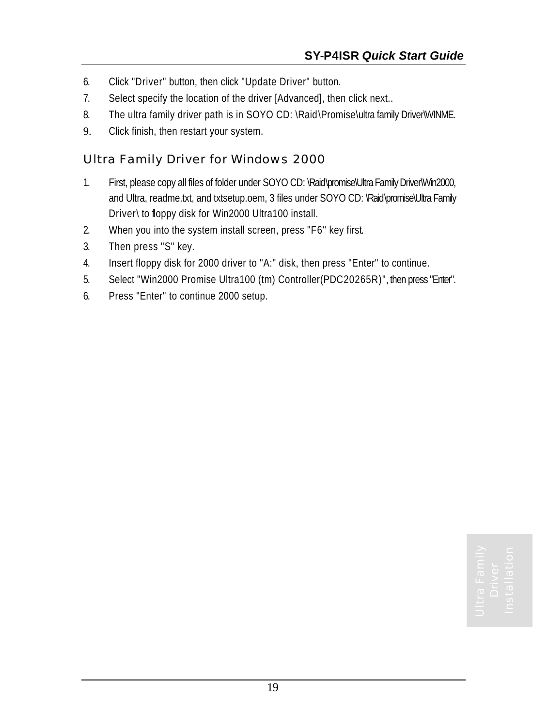- 6. Click "Driver" button, then click "Update Driver" button.
- 7. Select specify the location of the driver [Advanced], then click next..
- 8. The ultra family driver path is in SOYO CD: \Raid\Promise\ultra family Driver\WINME.
- 9. Click finish, then restart your system.

#### *Ultra Family Driver for Windows 2000*

- 1. First, please copy all files of folder under SOYO CD: \Raid\promise\Ultra Family Driver\Win2000, and Ultra, readme.txt, and txtsetup.oem, 3 files under SOYO CD: \Raid\promise\Ultra Family Driver\ to floppy disk for Win2000 Ultra100 install.
- 2. When you into the system install screen, press "F6" key first.
- 3. Then press "S" key.
- 4. Insert floppy disk for 2000 driver to "A:" disk, then press "Enter" to continue.
- 5. Select "Win2000 Promise Ultra100 (tm) Controller(PDC20265R)", then press "Enter".
- 6. Press "Enter" to continue 2000 setup.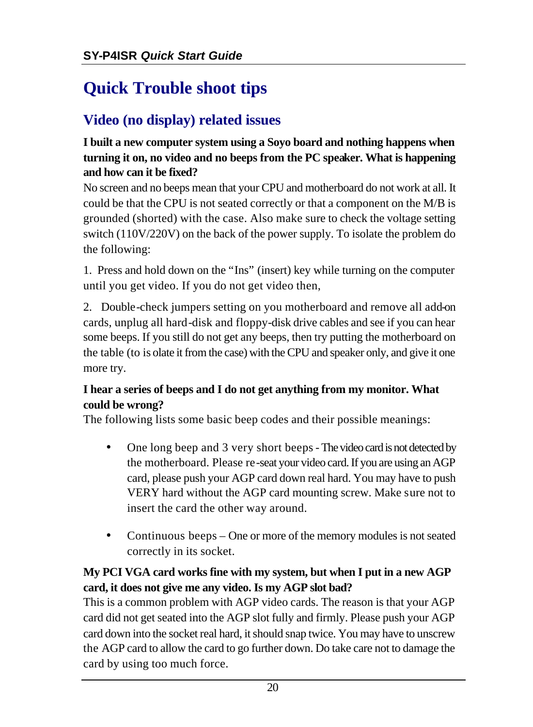### **Quick Trouble shoot tips**

#### **Video (no display) related issues**

#### **I built a new computer system using a Soyo board and nothing happens when turning it on, no video and no beeps from the PC speaker. What is happening and how can it be fixed?**

No screen and no beeps mean that your CPU and motherboard do not work at all. It could be that the CPU is not seated correctly or that a component on the M/B is grounded (shorted) with the case. Also make sure to check the voltage setting switch (110V/220V) on the back of the power supply. To isolate the problem do the following:

1. Press and hold down on the "Ins" (insert) key while turning on the computer until you get video. If you do not get video then,

2. Double-check jumpers setting on you motherboard and remove all add-on cards, unplug all hard-disk and floppy-disk drive cables and see if you can hear some beeps. If you still do not get any beeps, then try putting the motherboard on the table (to is olate it from the case) with the CPU and speaker only, and give it one more try.

#### **I hear a series of beeps and I do not get anything from my monitor. What could be wrong?**

The following lists some basic beep codes and their possible meanings:

- One long beep and 3 very short beeps The video card is not detected by the motherboard. Please re-seat your video card. If you are using an AGP card, please push your AGP card down real hard. You may have to push VERY hard without the AGP card mounting screw. Make sure not to insert the card the other way around.
- Continuous beeps One or more of the memory modules is not seated correctly in its socket.

#### **My PCI VGA card works fine with my system, but when I put in a new AGP card, it does not give me any video. Is my AGP slot bad?**

This is a common problem with AGP video cards. The reason is that your AGP card did not get seated into the AGP slot fully and firmly. Please push your AGP card down into the socket real hard, it should snap twice. You may have to unscrew the AGP card to allow the card to go further down. Do take care not to damage the card by using too much force.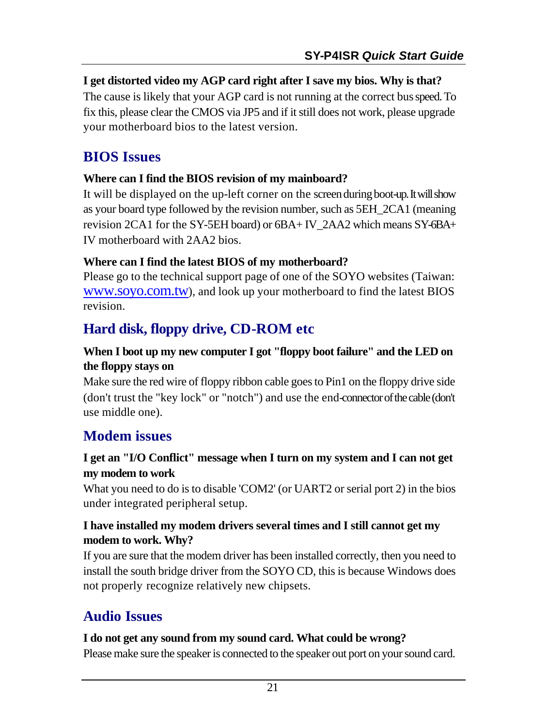#### **I get distorted video my AGP card right after I save my bios. Why is that?**

The cause is likely that your AGP card is not running at the correct bus speed. To fix this, please clear the CMOS via JP5 and if it still does not work, please upgrade your motherboard bios to the latest version.

#### **BIOS Issues**

#### **Where can I find the BIOS revision of my mainboard?**

It will be displayed on the up-left corner on the screen during boot-up. It will show as your board type followed by the revision number, such as 5EH\_2CA1 (meaning revision 2CA1 for the SY-5EH board) or 6BA+ IV\_2AA2 which means SY-6BA+ IV motherboard with 2AA2 bios.

#### **Where can I find the latest BIOS of my motherboard?**

Please go to the technical support page of one of the SOYO websites (Taiwan: www.soyo.com.tw), and look up your motherboard to find the latest BIOS revision.

#### **Hard disk, floppy drive, CD-ROM etc**

#### **When I boot up my new computer I got "floppy boot failure" and the LED on the floppy stays on**

Make sure the red wire of floppy ribbon cable goes to Pin1 on the floppy drive side (don't trust the "key lock" or "notch") and use the end-connector of the cable (don't use middle one).

#### **Modem issues**

#### **I get an "I/O Conflict" message when I turn on my system and I can not get my modem to work**

What you need to do is to disable 'COM2' (or UART2 or serial port 2) in the bios under integrated peripheral setup.

#### **I have installed my modem drivers several times and I still cannot get my modem to work. Why?**

If you are sure that the modem driver has been installed correctly, then you need to install the south bridge driver from the SOYO CD, this is because Windows does not properly recognize relatively new chipsets.

#### **Audio Issues**

#### **I do not get any sound from my sound card. What could be wrong?**

Please make sure the speaker is connected to the speaker out port on your sound card.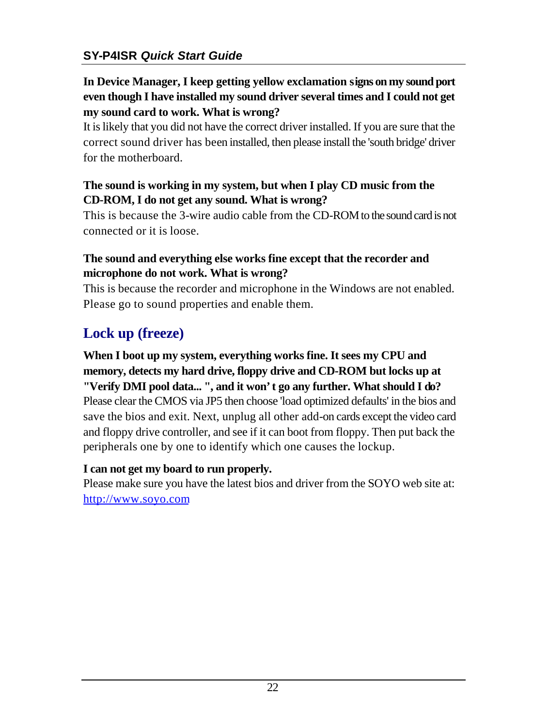#### **In Device Manager, I keep getting yellow exclamation signs on my sound port even though I have installed my sound driver several times and I could not get my sound card to work. What is wrong?**

It is likely that you did not have the correct driver installed. If you are sure that the correct sound driver has been installed, then please install the 'south bridge' driver for the motherboard.

#### **The sound is working in my system, but when I play CD music from the CD-ROM, I do not get any sound. What is wrong?**

This is because the 3-wire audio cable from the CD-ROM to the sound card is not connected or it is loose.

#### **The sound and everything else works fine except that the recorder and microphone do not work. What is wrong?**

This is because the recorder and microphone in the Windows are not enabled. Please go to sound properties and enable them.

#### **Lock up (freeze)**

#### **When I boot up my system, everything works fine. It sees my CPU and memory, detects my hard drive, floppy drive and CD-ROM but locks up at "Verify DMI pool data... ", and it won't go any further. What should I do?** Please clear the CMOS via JP5 then choose 'load optimized defaults' in the bios and save the bios and exit. Next, unplug all other add-on cards except the video card and floppy drive controller, and see if it can boot from floppy. Then put back the peripherals one by one to identify which one causes the lockup.

#### **I can not get my board to run properly.**

Please make sure you have the latest bios and driver from the SOYO web site at: http://www.soyo.com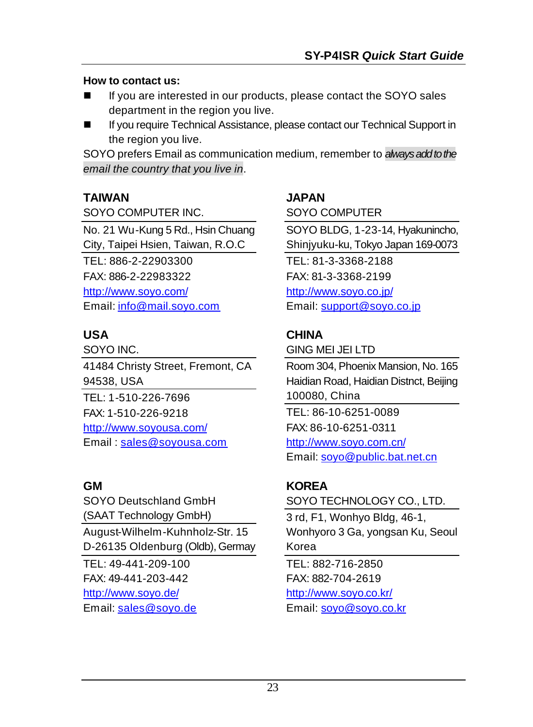#### **How to contact us:**

- If you are interested in our products, please contact the SOYO sales department in the region you live.
- If you require Technical Assistance, please contact our Technical Support in the region you live.

SOYO prefers Email as communication medium, remember to *always add to the email the country that you live in*.

#### **TAIWAN**

SOYO COMPUTER INC.

No. 21 Wu-Kung 5 Rd., Hsin Chuang City, Taipei Hsien, Taiwan, R.O.C TEL: 886-2-22903300 FAX: 886-2-22983322 http://www.soyo.com/ Email: info@mail.soyo.com

#### **USA**

SOYO INC. 41484 Christy Street, Fremont, CA 94538, USA TEL: 1-510-226-7696 FAX: 1-510-226-9218 http://www.soyousa.com/ Email: sales@soyousa.com

#### **GM**

SOYO Deutschland GmbH (SAAT Technology GmbH) August-Wilhelm-Kuhnholz-Str. 15 D-26135 Oldenburg (Oldb), Germay TEL: 49-441-209-100 FAX: 49-441-203-442 http://www.soyo.de/

Email: sales@soyo.de

#### **JAPAN**

SOYO COMPUTER

SOYO BLDG, 1-23-14, Hyakunincho, Shinjyuku-ku, Tokyo Japan 169-0073 TEL: 81-3-3368-2188 FAX: 81-3-3368-2199 http://www.soyo.co.jp/ Email: support@soyo.co.jp

#### **CHINA**

GING MEI JEI LTD

Room 304, Phoenix Mansion, No. 165 Haidian Road, Haidian Distnct, Beijing 100080, China TEL: 86-10-6251-0089 FAX: 86-10-6251-0311 http://www.soyo.com.cn/ Email: soyo@public.bat.net.cn

#### **KOREA**

SOYO TECHNOLOGY CO., LTD.

3 rd, F1, Wonhyo Bldg, 46-1, Wonhyoro 3 Ga, yongsan Ku, Seoul Korea

TEL: 882-716-2850 FAX: 882-704-2619 http://www.soyo.co.kr/ Email: soyo@soyo.co.kr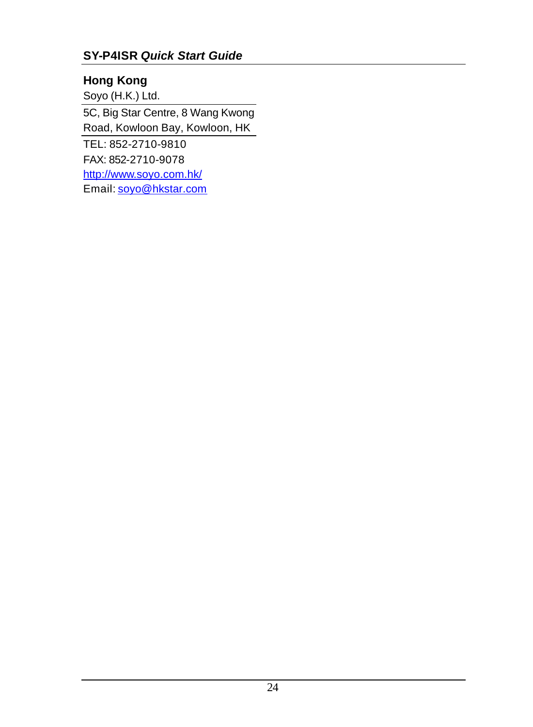#### **SY-P4ISR** *Quick Start Guide*

#### **Hong Kong**

Soyo (H.K.) Ltd.

5C, Big Star Centre, 8 Wang Kwong Road, Kowloon Bay, Kowloon, HK TEL: 852-2710-9810

FAX: 852-2710-9078

http://www.soyo.com.hk/

Email: soyo@hkstar.com